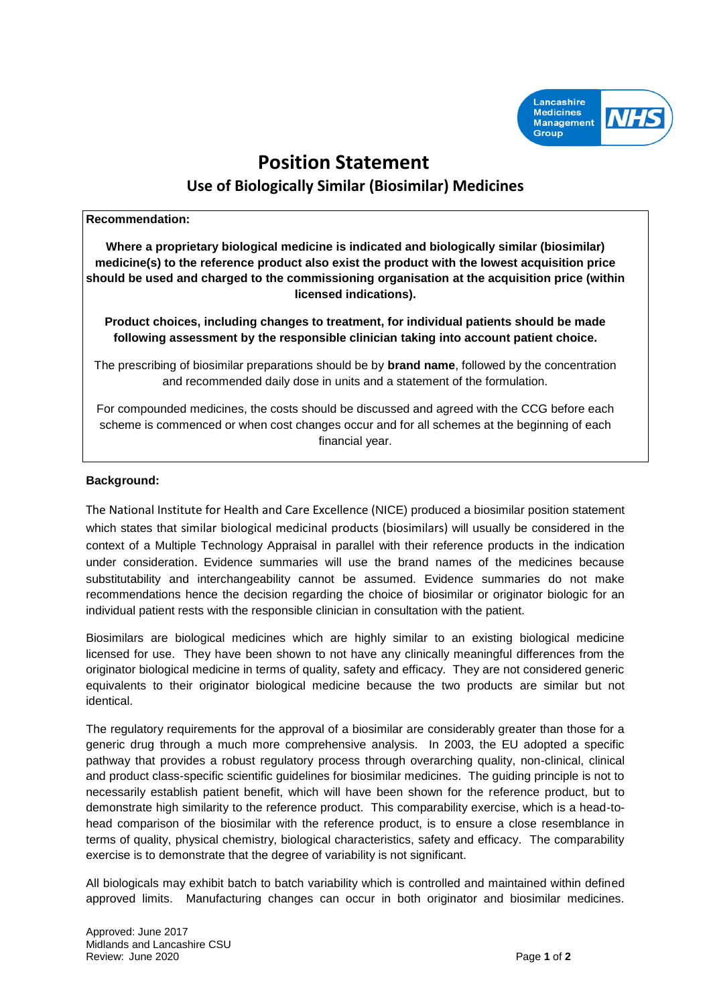

# **Position Statement Use of Biologically Similar (Biosimilar) Medicines**

#### **Recommendation:**

**Where a proprietary biological medicine is indicated and biologically similar (biosimilar) medicine(s) to the reference product also exist the product with the lowest acquisition price should be used and charged to the commissioning organisation at the acquisition price (within licensed indications).** 

**Product choices, including changes to treatment, for individual patients should be made following assessment by the responsible clinician taking into account patient choice.** 

The prescribing of biosimilar preparations should be by **brand name**, followed by the concentration and recommended daily dose in units and a statement of the formulation.

For compounded medicines, the costs should be discussed and agreed with the CCG before each scheme is commenced or when cost changes occur and for all schemes at the beginning of each financial year.

## **Background:**

The National Institute for Health and Care Excellence (NICE) produced a biosimilar position statement which states that similar biological medicinal products (biosimilars) will usually be considered in the context of a Multiple Technology Appraisal in parallel with their reference products in the indication under consideration. Evidence summaries will use the brand names of the medicines because substitutability and interchangeability cannot be assumed. Evidence summaries do not make recommendations hence the decision regarding the choice of biosimilar or originator biologic for an individual patient rests with the responsible clinician in consultation with the patient.

Biosimilars are biological medicines which are highly similar to an existing biological medicine licensed for use. They have been shown to not have any clinically meaningful differences from the originator biological medicine in terms of quality, safety and efficacy. They are not considered generic equivalents to their originator biological medicine because the two products are similar but not identical.

The regulatory requirements for the approval of a biosimilar are considerably greater than those for a generic drug through a much more comprehensive analysis. In 2003, the EU adopted a specific pathway that provides a robust regulatory process through overarching quality, non-clinical, clinical and product class-specific scientific guidelines for biosimilar medicines. The guiding principle is not to necessarily establish patient benefit, which will have been shown for the reference product, but to demonstrate high similarity to the reference product. This comparability exercise, which is a head-tohead comparison of the biosimilar with the reference product, is to ensure a close resemblance in terms of quality, physical chemistry, biological characteristics, safety and efficacy. The comparability exercise is to demonstrate that the degree of variability is not significant.

All biologicals may exhibit batch to batch variability which is controlled and maintained within defined approved limits. Manufacturing changes can occur in both originator and biosimilar medicines.